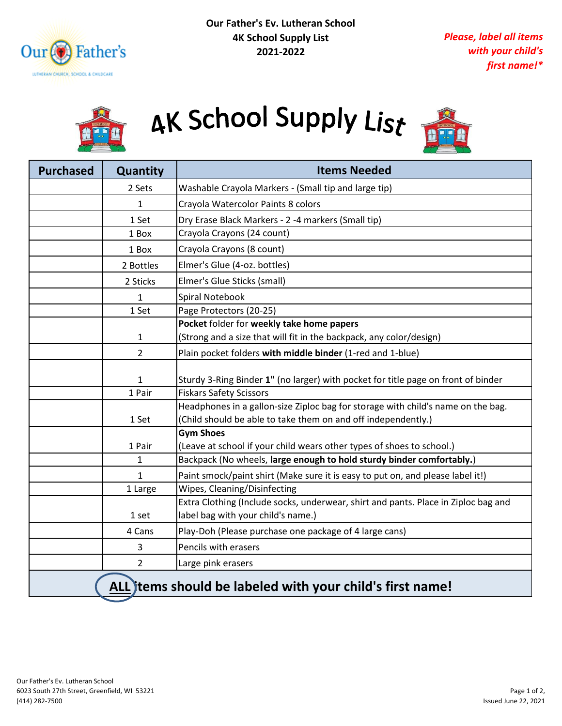



## AK School Supply List



| <b>Purchased</b>                                         | Quantity       | <b>Items Needed</b>                                                                       |
|----------------------------------------------------------|----------------|-------------------------------------------------------------------------------------------|
|                                                          | 2 Sets         | Washable Crayola Markers - (Small tip and large tip)                                      |
|                                                          | 1              | Crayola Watercolor Paints 8 colors                                                        |
|                                                          | 1 Set          | Dry Erase Black Markers - 2 -4 markers (Small tip)                                        |
|                                                          | 1 Box          | Crayola Crayons (24 count)                                                                |
|                                                          | 1 Box          | Crayola Crayons (8 count)                                                                 |
|                                                          | 2 Bottles      | Elmer's Glue (4-oz. bottles)                                                              |
|                                                          | 2 Sticks       | Elmer's Glue Sticks (small)                                                               |
|                                                          | 1              | Spiral Notebook                                                                           |
|                                                          | 1 Set          | Page Protectors (20-25)                                                                   |
|                                                          |                | Pocket folder for weekly take home papers                                                 |
|                                                          | $\mathbf{1}$   | (Strong and a size that will fit in the backpack, any color/design)                       |
|                                                          | $\overline{2}$ | Plain pocket folders with middle binder (1-red and 1-blue)                                |
|                                                          | 1              | Sturdy 3-Ring Binder 1" (no larger) with pocket for title page on front of binder         |
|                                                          | 1 Pair         | <b>Fiskars Safety Scissors</b>                                                            |
|                                                          |                | Headphones in a gallon-size Ziploc bag for storage with child's name on the bag.          |
|                                                          | 1 Set          | (Child should be able to take them on and off independently.)                             |
|                                                          | 1 Pair         | <b>Gym Shoes</b><br>(Leave at school if your child wears other types of shoes to school.) |
|                                                          | 1              | Backpack (No wheels, large enough to hold sturdy binder comfortably.)                     |
|                                                          | $\mathbf{1}$   | Paint smock/paint shirt (Make sure it is easy to put on, and please label it!)            |
|                                                          | 1 Large        | Wipes, Cleaning/Disinfecting                                                              |
|                                                          |                | Extra Clothing (Include socks, underwear, shirt and pants. Place in Ziploc bag and        |
|                                                          | 1 set          | label bag with your child's name.)                                                        |
|                                                          | 4 Cans         | Play-Doh (Please purchase one package of 4 large cans)                                    |
|                                                          | 3              | Pencils with erasers                                                                      |
|                                                          | $\overline{2}$ | Large pink erasers                                                                        |
| ALL tems should be labeled with your child's first name! |                |                                                                                           |